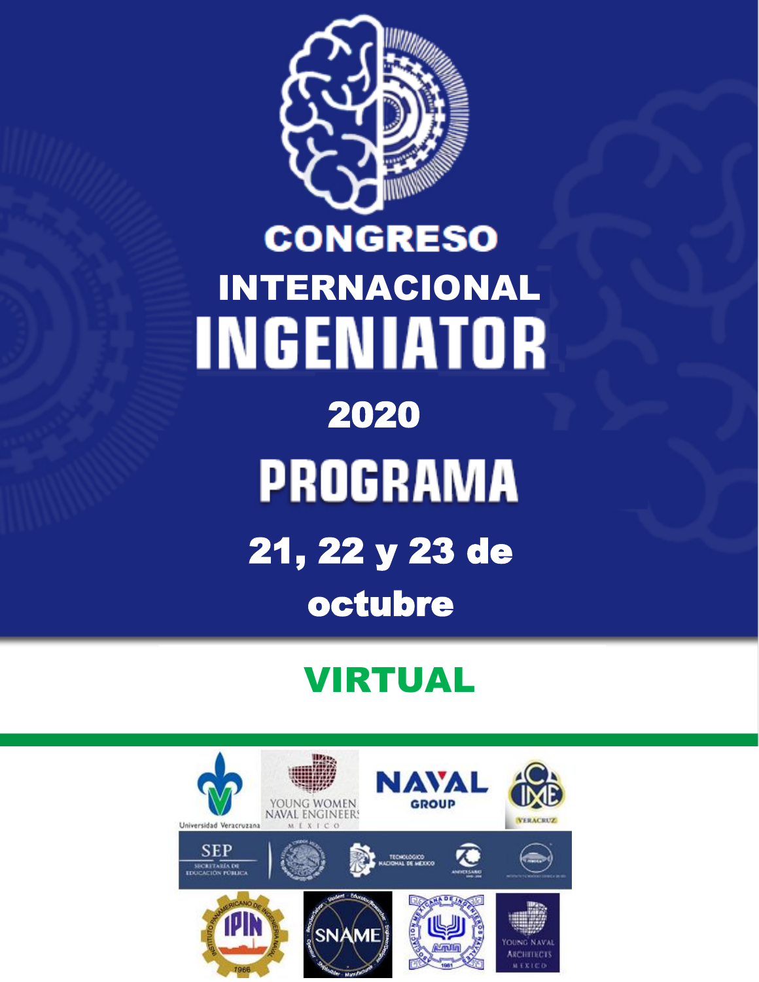

# **CONGRESO** INTERNACIONAL **INGENIATOR** 2020 **PROGRAMA** 21, 22 y 23 de octubre

# VIRTUAL

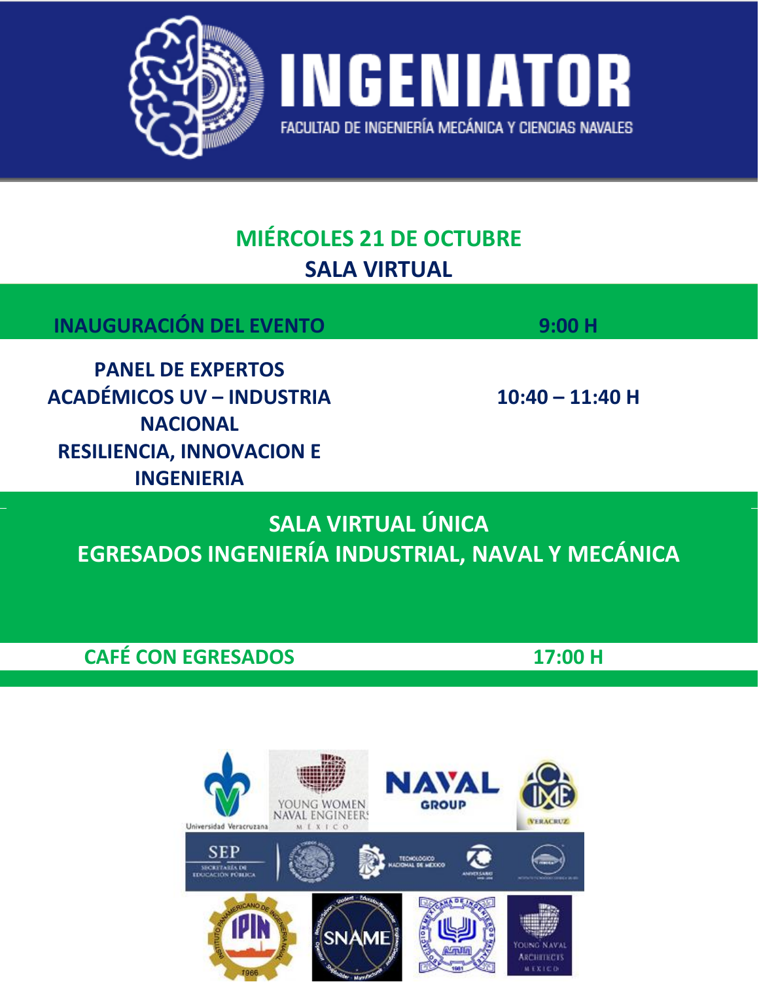

# **MIÉRCOLES 21 DE OCTUBRE SALA VIRTUAL**

| <b>INAUGURACIÓN DEL EVENTO</b>                                                  | 9:00H             |
|---------------------------------------------------------------------------------|-------------------|
| <b>PANEL DE EXPERTOS</b><br><b>ACADÉMICOS UV - INDUSTRIA</b><br><b>NACIONAL</b> | $10:40 - 11:40$ H |
| <b>RESILIENCIA, INNOVACION E</b><br><b>INGENIERIA</b>                           |                   |

SALA VIRTUAL ÚNICA EGRESADOS INGENIERÍA INDUSTRIAL, NAVAL Y MECÁNICA

**CAFÉ CON EGRESADOS** 

17:00 H

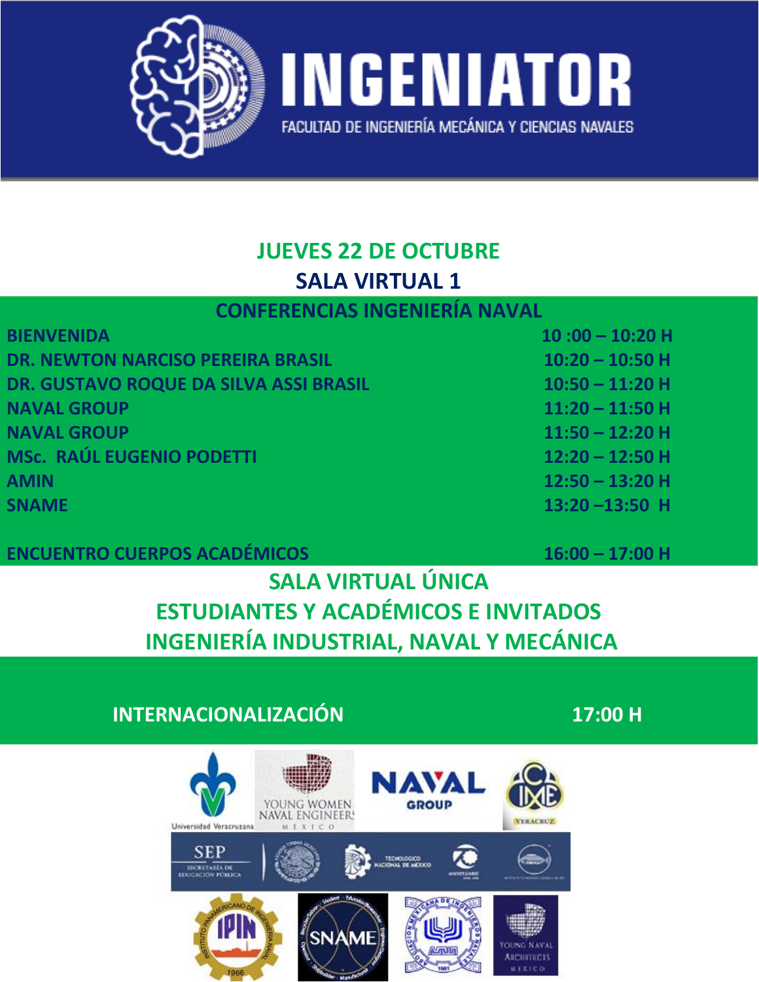

#### **JUEVES 22 DE OCTUBRE SALA VIRTUAL 1**

#### **CONFERENCIAS INGENIERÍA NAVAL**

| <b>BIENVENIDA</b>                        | $10:00 - 10:20$ H |
|------------------------------------------|-------------------|
| <b>DR. NEWTON NARCISO PEREIRA BRASIL</b> | $10:20 - 10:50$ H |
| DR. GUSTAVO ROQUE DA SILVA ASSI BRASIL   | $10:50 - 11:20$ H |
| <b>NAVAL GROUP</b>                       | $11:20 - 11:50$ H |
| <b>NAVAL GROUP</b>                       | $11:50 - 12:20$ H |
| <b>MSc. RAÚL EUGENIO PODETTI</b>         | $12:20 - 12:50$ H |
| <b>AMIN</b>                              | $12:50 - 13:20$ H |
| <b>SNAME</b>                             | $13:20 - 13:50$ H |
|                                          |                   |

#### **ENCUENTRO CUERPOS ACADÉMICOS**

#### **16:00 – 17:00 H**

# **SALA VIRTUAL ÚNICA ESTUDIANTES Y ACADÉMICOS E INVITADOS INGENIERÍA INDUSTRIAL, NAVAL Y MECÁNICA**

#### **INTERNACIONALIZACIÓN 17:00 H**

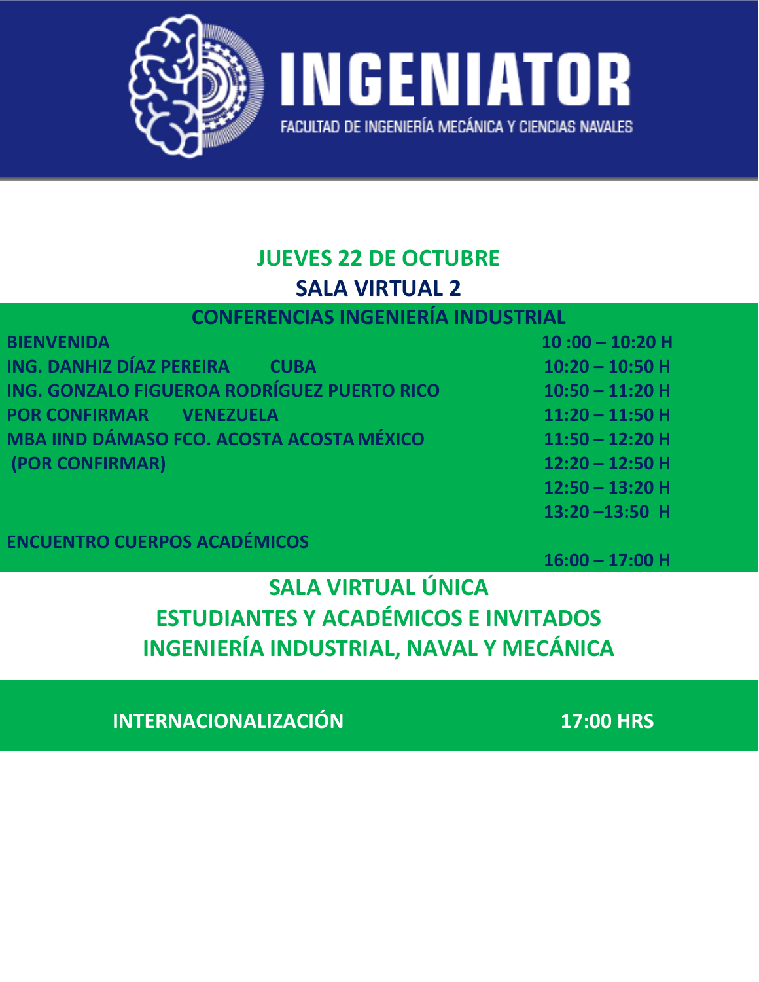

# **JUEVES 22 DE OCTUBRE SALA VIRTUAL 2**

#### **CONFERENCIAS INGENIERÍA INDUSTRIAL**

| <b>BIENVENIDA</b>                                | $10:00 - 10:20$ H |
|--------------------------------------------------|-------------------|
| ING. DANHIZ DÍAZ PEREIRA<br><b>CUBA</b>          | $10:20 - 10:50$ H |
| ING. GONZALO FIGUEROA RODRÍGUEZ PUERTO RICO      | $10:50 - 11:20$ H |
| <b>POR CONFIRMAR VENEZUELA</b>                   | $11:20 - 11:50$ H |
| <b>MBA IIND DÁMASO FCO. ACOSTA ACOSTA MÉXICO</b> | $11:50 - 12:20$ H |
| (POR CONFIRMAR)                                  | $12:20 - 12:50$ H |
|                                                  | $12:50 - 13:20$ H |

#### **ENCUENTRO CUERPOS ACADÉMICOS**

**16:00 – 17:00 H**

**13:20 –13:50 H**

# **SALA VIRTUAL ÚNICA ESTUDIANTES Y ACADÉMICOS E INVITADOS INGENIERÍA INDUSTRIAL, NAVAL Y MECÁNICA**

**INTERNACIONALIZACIÓN 17:00 HRS**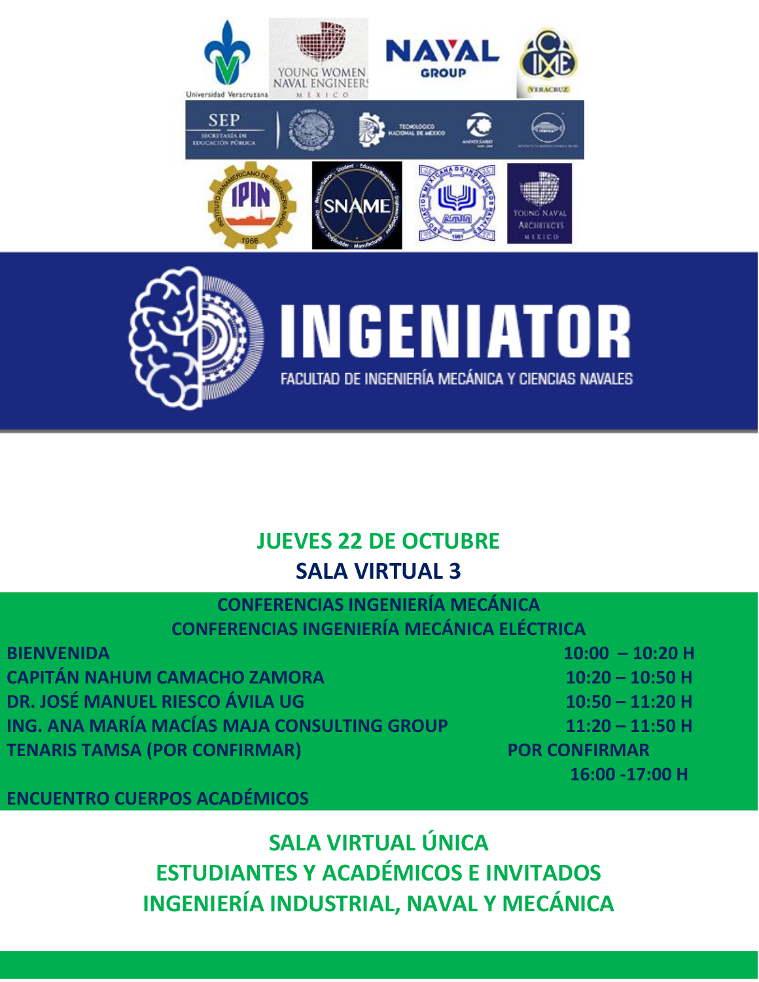



### **JUEVES 22 DE OCTUBRE SALA VIRTUAL 3**

#### **CONFERENCIAS INGENIERÍA MECÁNICA CONFERENCIAS INGENIERÍA MECÁNICA ELÉCTRICA**

| <b>BIENVENIDA</b>                           | $10:00 - 10:20$ H    |
|---------------------------------------------|----------------------|
| <b>CAPITÁN NAHUM CAMACHO ZAMORA</b>         | $10:20 - 10:50$ H    |
| DR. JOSÉ MANUEL RIESCO ÁVILA UG             | $10:50 - 11:20$ H    |
| ING. ANA MARÍA MACÍAS MAJA CONSULTING GROUP | $11:20 - 11:50$ H    |
| <b>TENARIS TAMSA (POR CONFIRMAR)</b>        | <b>POR CONFIRMAR</b> |
|                                             |                      |

**ENCUENTRO CUERPOS ACADÉMICOS**

**SALA VIRTUAL ÚNICA ESTUDIANTES Y ACADÉMICOS E INVITADOS INGENIERÍA INDUSTRIAL, NAVAL Y MECÁNICA**

**16:00 -17:00 H**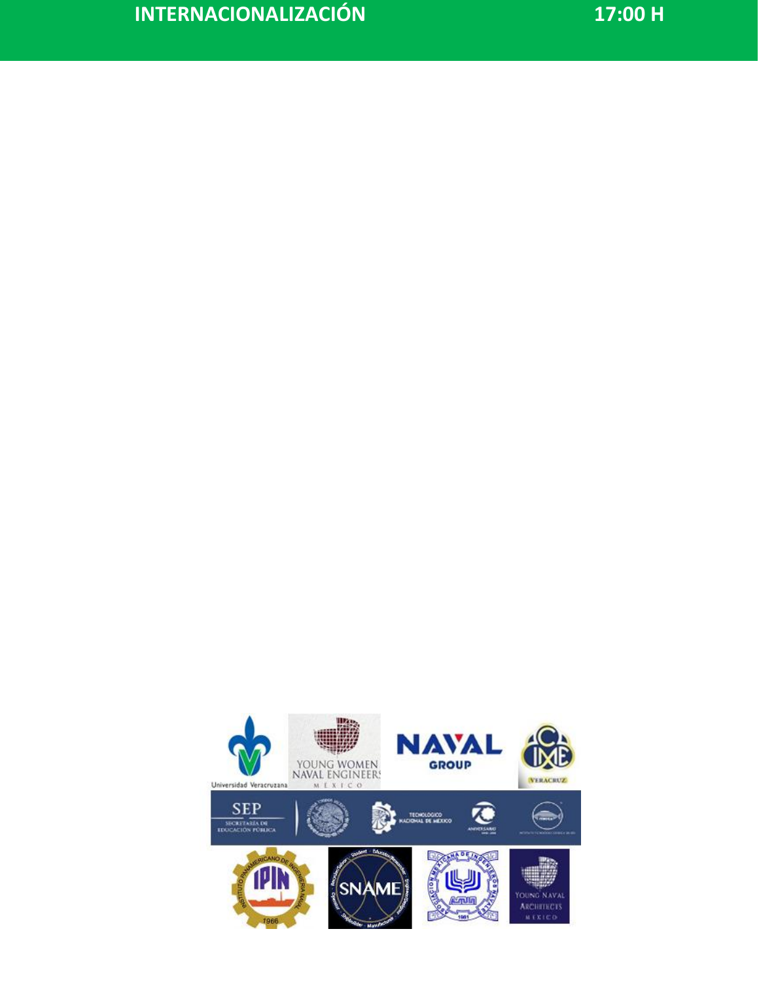